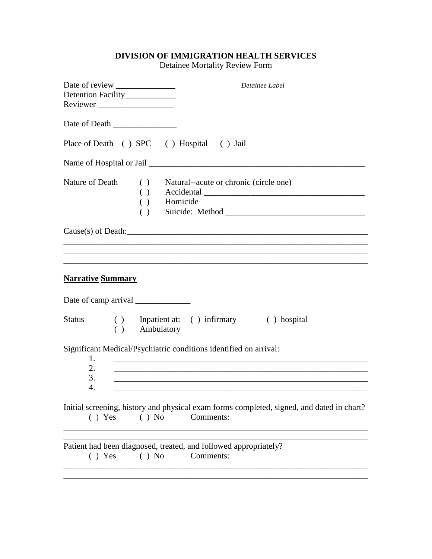## **DIVISION OF IMMIGRATION HEALTH SERVICES**

Detainee Mortality Review Form

|                                                                         | Detainee Label                                                                                         |
|-------------------------------------------------------------------------|--------------------------------------------------------------------------------------------------------|
| Detention Facility_____________                                         |                                                                                                        |
| Reviewer                                                                |                                                                                                        |
|                                                                         |                                                                                                        |
|                                                                         |                                                                                                        |
| Place of Death () SPC () Hospital () Jail                               |                                                                                                        |
|                                                                         |                                                                                                        |
| Nature of Death                                                         | ( ) Natural--acute or chronic (circle one)                                                             |
|                                                                         | $( )$ Accidental $\qquad$                                                                              |
| $\overrightarrow{ }$ Homicide                                           |                                                                                                        |
|                                                                         |                                                                                                        |
|                                                                         | $Cause(s)$ of Death: $\_\_\_\_\_\_\_\_$                                                                |
|                                                                         |                                                                                                        |
|                                                                         |                                                                                                        |
|                                                                         |                                                                                                        |
| <b>Narrative Summary</b>                                                |                                                                                                        |
|                                                                         |                                                                                                        |
|                                                                         |                                                                                                        |
| <b>Status</b><br>( ) Ambulatory                                         | () Inpatient at: () infirmary () hospital                                                              |
|                                                                         |                                                                                                        |
| Significant Medical/Psychiatric conditions identified on arrival:<br>1. |                                                                                                        |
| 2.                                                                      |                                                                                                        |
| 3.                                                                      |                                                                                                        |
| 4.                                                                      |                                                                                                        |
|                                                                         |                                                                                                        |
| () No<br>$( )$ Yes                                                      | Initial screening, history and physical exam forms completed, signed, and dated in chart?<br>Comments: |
|                                                                         |                                                                                                        |
| Patient had been diagnosed, treated, and followed appropriately?        |                                                                                                        |
| $( )$ No<br>() Yes                                                      | Comments:                                                                                              |
|                                                                         |                                                                                                        |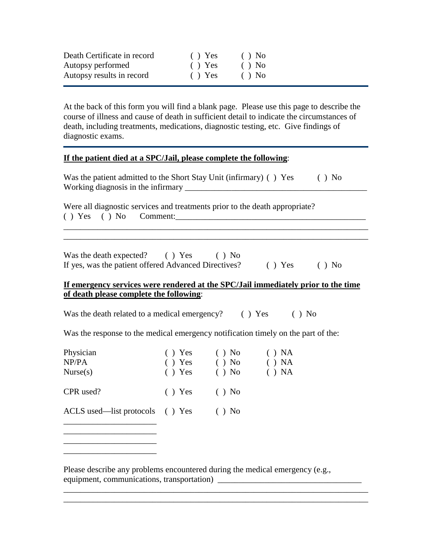| Death Certificate in record | () Yes | $()$ No |
|-----------------------------|--------|---------|
| Autopsy performed           | () Yes | $()$ No |
| Autopsy results in record   | () Yes | $()$ No |

At the back of this form you will find a blank page. Please use this page to describe the course of illness and cause of death in sufficient detail to indicate the circumstances of death, including treatments, medications, diagnostic testing, etc. Give findings of diagnostic exams.

#### **If the patient died at a SPC/Jail, please complete the following**:

| Was the patient admitted to the Short Stay Unit (infirmary) () Yes | $()$ No |
|--------------------------------------------------------------------|---------|
| Working diagnosis in the infirmary                                 |         |

Were all diagnostic services and treatments prior to the death appropriate?  $( )$   $Yes$   $( )$   $No$   $Comment:$ 

| Was the death expected?                              | $( )$ Yes | $()$ No |        |         |
|------------------------------------------------------|-----------|---------|--------|---------|
| If yes, was the patient offered Advanced Directives? |           |         | () Yes | $()$ No |

### **If emergency services were rendered at the SPC/Jail immediately prior to the time of death please complete the following**:

\_\_\_\_\_\_\_\_\_\_\_\_\_\_\_\_\_\_\_\_\_\_\_\_\_\_\_\_\_\_\_\_\_\_\_\_\_\_\_\_\_\_\_\_\_\_\_\_\_\_\_\_\_\_\_\_\_\_\_\_\_\_\_\_\_\_\_\_\_\_\_\_

Was the death related to a medical emergency? () Yes () No

Was the response to the medical emergency notification timely on the part of the:

| Physician<br>NP/PA<br>Nurse(s)  | () Yes<br>() Yes<br>() Yes | $()$ No<br>$()$ No<br>$()$ No | () NA<br>() NA<br>() NA |
|---------------------------------|----------------------------|-------------------------------|-------------------------|
| CPR used?                       | () Yes                     | $()$ No                       |                         |
| ACLS used—list protocols () Yes |                            | $()$ No                       |                         |
|                                 |                            |                               |                         |

\_\_\_\_\_\_\_\_\_\_\_\_\_\_\_\_\_\_\_\_\_\_

Please describe any problems encountered during the medical emergency (e.g., equipment, communications, transportation) \_\_\_\_\_\_\_\_\_\_\_\_\_\_\_\_\_\_\_\_\_\_\_\_\_\_\_\_\_\_\_\_\_\_

\_\_\_\_\_\_\_\_\_\_\_\_\_\_\_\_\_\_\_\_\_\_\_\_\_\_\_\_\_\_\_\_\_\_\_\_\_\_\_\_\_\_\_\_\_\_\_\_\_\_\_\_\_\_\_\_\_\_\_\_\_\_\_\_\_\_\_\_\_\_\_\_ \_\_\_\_\_\_\_\_\_\_\_\_\_\_\_\_\_\_\_\_\_\_\_\_\_\_\_\_\_\_\_\_\_\_\_\_\_\_\_\_\_\_\_\_\_\_\_\_\_\_\_\_\_\_\_\_\_\_\_\_\_\_\_\_\_\_\_\_\_\_\_\_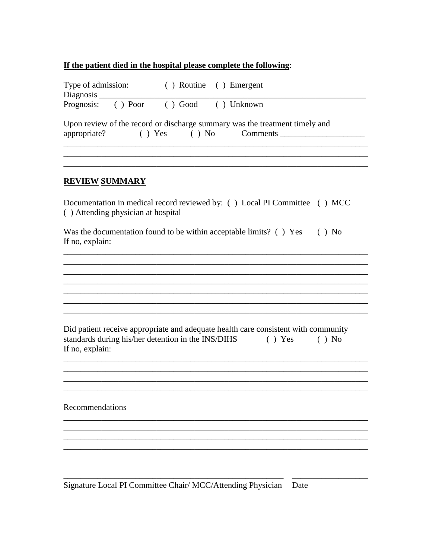## If the patient died in the hospital please complete the following:

| Type of admission: ( ) Routine ( ) Emergent                                                                                                                                          |
|--------------------------------------------------------------------------------------------------------------------------------------------------------------------------------------|
| Prognosis: () Poor () Good () Unknown                                                                                                                                                |
| Upon review of the record or discharge summary was the treatment timely and<br>appropriate?                                                                                          |
| <b>REVIEW SUMMARY</b>                                                                                                                                                                |
| Documentation in medical record reviewed by: () Local PI Committee () MCC<br>() Attending physician at hospital                                                                      |
| Was the documentation found to be within acceptable limits? () Yes<br>$()$ No<br>If no, explain:                                                                                     |
|                                                                                                                                                                                      |
|                                                                                                                                                                                      |
|                                                                                                                                                                                      |
| Did patient receive appropriate and adequate health care consistent with community<br>standards during his/her detention in the INS/DIHS<br>$( )$ Yes<br>$( )$ No<br>If no, explain: |
|                                                                                                                                                                                      |
| Recommendations                                                                                                                                                                      |
|                                                                                                                                                                                      |
|                                                                                                                                                                                      |
|                                                                                                                                                                                      |

Signature Local PI Committee Chair/ MCC/Attending Physician Date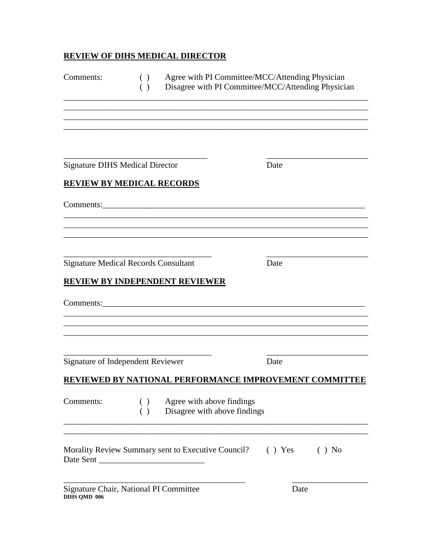# **REVIEW OF DIHS MEDICAL DIRECTOR**

| Comments:                              | ( )<br>( )                                                                                  | Agree with PI Committee/MCC/Attending Physician<br>Disagree with PI Committee/MCC/Attending Physician |      |         |
|----------------------------------------|---------------------------------------------------------------------------------------------|-------------------------------------------------------------------------------------------------------|------|---------|
| <b>Signature DIHS Medical Director</b> |                                                                                             |                                                                                                       | Date |         |
|                                        | <b>REVIEW BY MEDICAL RECORDS</b>                                                            |                                                                                                       |      |         |
|                                        | <b>Signature Medical Records Consultant</b><br><b>REVIEW BY INDEPENDENT REVIEWER</b>        |                                                                                                       | Date |         |
| Comments:                              |                                                                                             |                                                                                                       |      |         |
|                                        | Signature of Independent Reviewer<br>REVIEWED BY NATIONAL PERFORMANCE IMPROVEMENT COMMITTEE |                                                                                                       | Date |         |
| Comments:                              | $\left( \ \right)$<br>( )                                                                   | Agree with above findings<br>Disagree with above findings                                             |      |         |
| Date Sent                              | Morality Review Summary sent to Executive Council? () Yes                                   |                                                                                                       |      | $()$ No |
| DIHS QMD 006                           | Signature Chair, National PI Committee                                                      |                                                                                                       | Date |         |